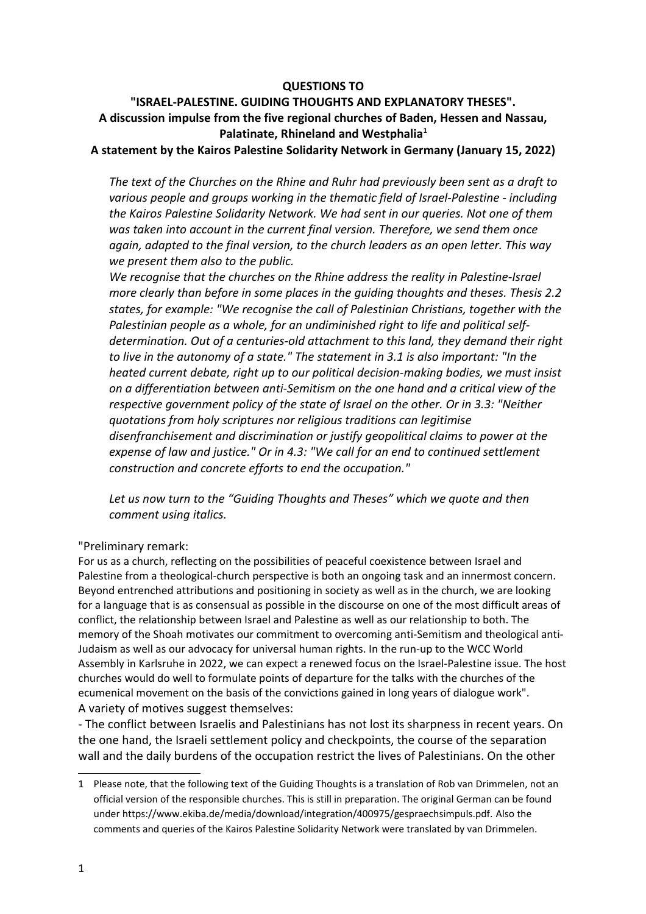### **QUESTIONS TO**

# **"ISRAEL-PALESTINE. GUIDING THOUGHTS AND EXPLANATORY THESES". A discussion impulse from the five regional churches of Baden, Hessen and Nassau, Palatinate, Rhineland and Westphalia[1](#page-0-0)**

#### **A statement by the Kairos Palestine Solidarity Network in Germany (January 15, 2022)**

*The text of the Churches on the Rhine and Ruhr had previously been sent as a draft to various people and groups working in the thematic field of Israel-Palestine - including the Kairos Palestine Solidarity Network. We had sent in our queries. Not one of them was taken into account in the current final version. Therefore, we send them once again, adapted to the final version, to the church leaders as an open letter. This way we present them also to the public.*

*We recognise that the churches on the Rhine address the reality in Palestine-Israel more clearly than before in some places in the guiding thoughts and theses. Thesis 2.2 states, for example: "We recognise the call of Palestinian Christians, together with the Palestinian people as a whole, for an undiminished right to life and political selfdetermination. Out of a centuries-old attachment to this land, they demand their right to live in the autonomy of a state." The statement in 3.1 is also important: "In the heated current debate, right up to our political decision-making bodies, we must insist on a differentiation between anti-Semitism on the one hand and a critical view of the respective government policy of the state of Israel on the other. Or in 3.3: "Neither quotations from holy scriptures nor religious traditions can legitimise disenfranchisement and discrimination or justify geopolitical claims to power at the expense of law and justice." Or in 4.3: "We call for an end to continued settlement construction and concrete efforts to end the occupation."* 

*Let us now turn to the "Guiding Thoughts and Theses" which we quote and then comment using italics.*

### "Preliminary remark:

For us as a church, reflecting on the possibilities of peaceful coexistence between Israel and Palestine from a theological-church perspective is both an ongoing task and an innermost concern. Beyond entrenched attributions and positioning in society as well as in the church, we are looking for a language that is as consensual as possible in the discourse on one of the most difficult areas of conflict, the relationship between Israel and Palestine as well as our relationship to both. The memory of the Shoah motivates our commitment to overcoming anti-Semitism and theological anti-Judaism as well as our advocacy for universal human rights. In the run-up to the WCC World Assembly in Karlsruhe in 2022, we can expect a renewed focus on the Israel-Palestine issue. The host churches would do well to formulate points of departure for the talks with the churches of the ecumenical movement on the basis of the convictions gained in long years of dialogue work". A variety of motives suggest themselves:

- The conflict between Israelis and Palestinians has not lost its sharpness in recent years. On the one hand, the Israeli settlement policy and checkpoints, the course of the separation wall and the daily burdens of the occupation restrict the lives of Palestinians. On the other

<span id="page-0-0"></span><sup>1</sup> Please note, that the following text of the Guiding Thoughts is a translation of Rob van Drimmelen, not an official version of the responsible churches. This is still in preparation. The original German can be found under https://www.ekiba.de/media/download/integration/400975/gespraechsimpuls.pdf. Also the comments and queries of the Kairos Palestine Solidarity Network were translated by van Drimmelen.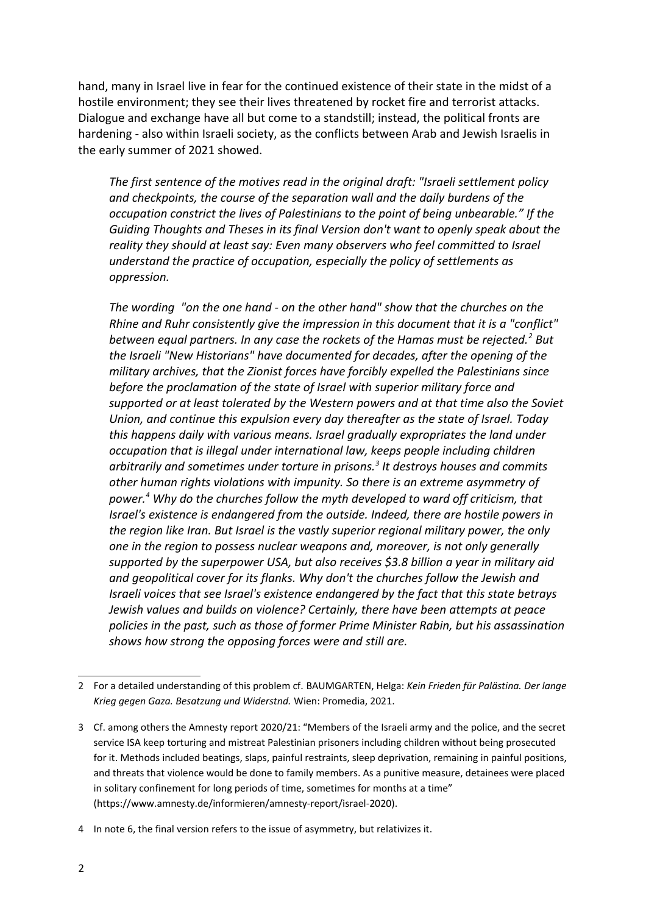hand, many in Israel live in fear for the continued existence of their state in the midst of a hostile environment; they see their lives threatened by rocket fire and terrorist attacks. Dialogue and exchange have all but come to a standstill; instead, the political fronts are hardening - also within Israeli society, as the conflicts between Arab and Jewish Israelis in the early summer of 2021 showed.

*The first sentence of the motives read in the original draft: "Israeli settlement policy and checkpoints, the course of the separation wall and the daily burdens of the occupation constrict the lives of Palestinians to the point of being unbearable." If the Guiding Thoughts and Theses in its final Version don't want to openly speak about the reality they should at least say: Even many observers who feel committed to Israel understand the practice of occupation, especially the policy of settlements as oppression.*

*The wording "on the one hand - on the other hand" show that the churches on the Rhine and Ruhr consistently give the impression in this document that it is a "conflict" between equal partners. In any case the rockets of the Hamas must be rejected.[2](#page-1-0) But the Israeli "New Historians" have documented for decades, after the opening of the military archives, that the Zionist forces have forcibly expelled the Palestinians since before the proclamation of the state of Israel with superior military force and supported or at least tolerated by the Western powers and at that time also the Soviet Union, and continue this expulsion every day thereafter as the state of Israel. Today this happens daily with various means. Israel gradually expropriates the land under occupation that is illegal under international law, keeps people including children arbitrarily and sometimes under torture in prisons.[3](#page-1-1) It destroys houses and commits other human rights violations with impunity. So there is an extreme asymmetry of power.[4](#page-1-2) Why do the churches follow the myth developed to ward off criticism, that Israel's existence is endangered from the outside. Indeed, there are hostile powers in the region like Iran. But Israel is the vastly superior regional military power, the only one in the region to possess nuclear weapons and, moreover, is not only generally supported by the superpower USA, but also receives \$3.8 billion a year in military aid and geopolitical cover for its flanks. Why don't the churches follow the Jewish and Israeli voices that see Israel's existence endangered by the fact that this state betrays Jewish values and builds on violence? Certainly, there have been attempts at peace policies in the past, such as those of former Prime Minister Rabin, but his assassination shows how strong the opposing forces were and still are.*

<span id="page-1-0"></span><sup>2</sup> For a detailed understanding of this problem cf. BAUMGARTEN, Helga: *Kein Frieden für Palästina. Der lange Krieg gegen Gaza. Besatzung und Widerstnd.* Wien: Promedia, 2021.

<span id="page-1-1"></span><sup>3</sup> Cf. among others the Amnesty report 2020/21: "Members of the Israeli army and the police, and the secret service ISA keep torturing and mistreat Palestinian prisoners including children without being prosecuted for it. Methods included beatings, slaps, painful restraints, sleep deprivation, remaining in painful positions, and threats that violence would be done to family members. As a punitive measure, detainees were placed in solitary confinement for long periods of time, sometimes for months at a time" (https://www.amnesty.de/informieren/amnesty-report/israel-2020).

<span id="page-1-2"></span><sup>4</sup> In note 6, the final version refers to the issue of asymmetry, but relativizes it.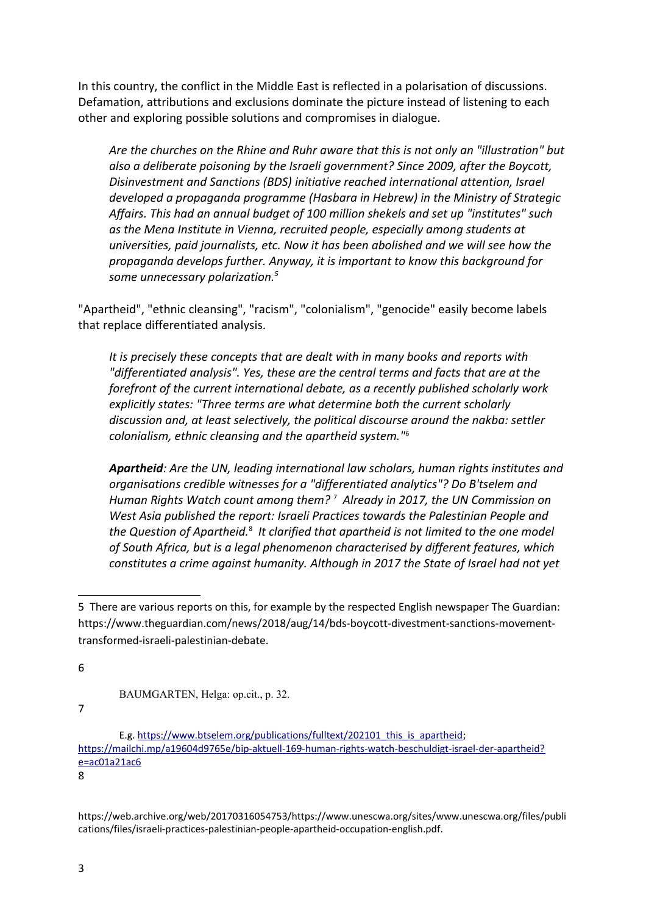In this country, the conflict in the Middle East is reflected in a polarisation of discussions. Defamation, attributions and exclusions dominate the picture instead of listening to each other and exploring possible solutions and compromises in dialogue.

*Are the churches on the Rhine and Ruhr aware that this is not only an "illustration" but also a deliberate poisoning by the Israeli government? Since 2009, after the Boycott, Disinvestment and Sanctions (BDS) initiative reached international attention, Israel developed a propaganda programme (Hasbara in Hebrew) in the Ministry of Strategic Affairs. This had an annual budget of 100 million shekels and set up "institutes" such as the Mena Institute in Vienna, recruited people, especially among students at universities, paid journalists, etc. Now it has been abolished and we will see how the propaganda develops further. Anyway, it is important to know this background for some unnecessary polarization.[5](#page-2-0)*

"Apartheid", "ethnic cleansing", "racism", "colonialism", "genocide" easily become labels that replace differentiated analysis.

*It is precisely these concepts that are dealt with in many books and reports with "differentiated analysis". Yes, these are the central terms and facts that are at the forefront of the current international debate, as a recently published scholarly work explicitly states: "Three terms are what determine both the current scholarly discussion and, at least selectively, the political discourse around the nakba: settler colonialism, ethnic cleansing and the apartheid system."*[6](#page-2-1)

*Apartheid: Are the UN, leading international law scholars, human rights institutes and organisations credible witnesses for a "differentiated analytics"? Do B'tselem and Human Rights Watch count among them?* [7](#page-2-2)  *Already in 2017, the UN Commission on West Asia published the report: Israeli Practices towards the Palestinian People and*  the Question of Apartheid.<sup>[8](#page-2-3)</sup> It clarified that apartheid is not limited to the one model *of South Africa, but is a legal phenomenon characterised by different features, which constitutes a crime against humanity. Although in 2017 the State of Israel had not yet* 

<span id="page-2-1"></span>6

<span id="page-2-2"></span>7

<span id="page-2-3"></span>8

https://web.archive.org/web/20170316054753/https://www.unescwa.org/sites/www.unescwa.org/files/publi cations/files/israeli-practices-palestinian-people-apartheid-occupation-english.pdf.

<span id="page-2-0"></span><sup>5</sup> There are various reports on this, for example by the respected English newspaper The Guardian: https://www.theguardian.com/news/2018/aug/14/bds-boycott-divestment-sanctions-movementtransformed-israeli-palestinian-debate.

BAUMGARTEN, Helga: op.cit., p. 32.

E.g. [https://www.btselem.org/publications/fulltext/202101\\_this\\_is\\_apartheid;](https://www.btselem.org/publications/fulltext/202101_this_is_apartheid) [https://mailchi.mp/a19604d9765e/bip-aktuell-169-human-rights-watch-beschuldigt-israel-der-apartheid?](https://mailchi.mp/a19604d9765e/bip-aktuell-169-human-rights-watch-beschuldigt-israel-der-apartheid?e=ac01a21ac6) [e=ac01a21ac6](https://mailchi.mp/a19604d9765e/bip-aktuell-169-human-rights-watch-beschuldigt-israel-der-apartheid?e=ac01a21ac6)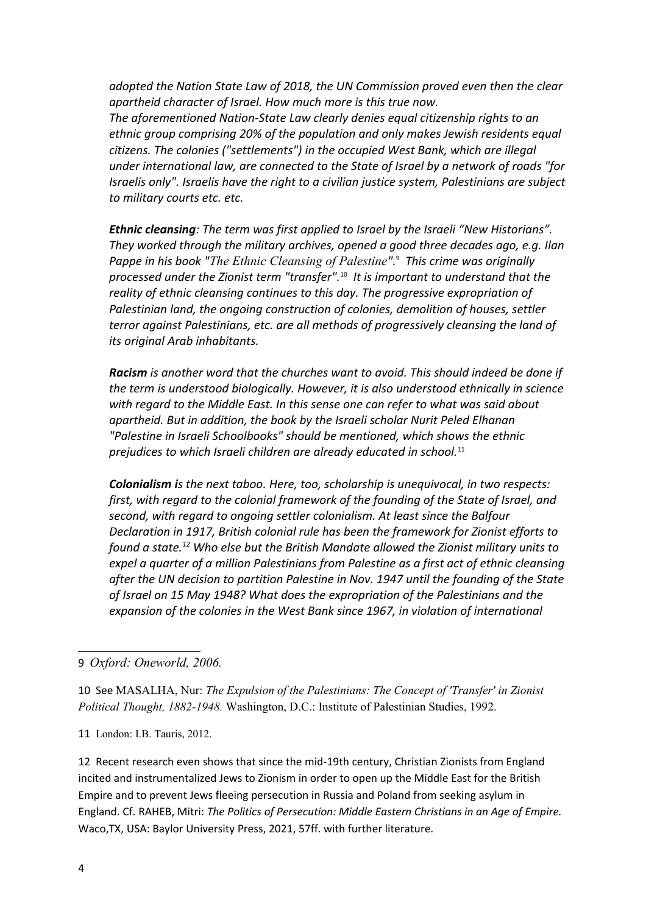*adopted the Nation State Law of 2018, the UN Commission proved even then the clear apartheid character of Israel. How much more is this true now. The aforementioned Nation-State Law clearly denies equal citizenship rights to an ethnic group comprising 20% of the population and only makes Jewish residents equal citizens. The colonies ("settlements") in the occupied West Bank, which are illegal under international law, are connected to the State of Israel by a network of roads "for Israelis only". Israelis have the right to a civilian justice system, Palestinians are subject to military courts etc. etc.*

*Ethnic cleansing: The term was first applied to Israel by the Israeli "New Historians". They worked through the military archives, opened a good three decades ago, e.g. Ilan Pappe in his book "The Ethnic Cleansing of Palestine".*[9](#page-3-0)  *This crime was originally processed under the Zionist term "transfer".*[10](#page-3-1) *It is important to understand that the reality of ethnic cleansing continues to this day. The progressive expropriation of Palestinian land, the ongoing construction of colonies, demolition of houses, settler terror against Palestinians, etc. are all methods of progressively cleansing the land of its original Arab inhabitants.*

*Racism is another word that the churches want to avoid. This should indeed be done if the term is understood biologically. However, it is also understood ethnically in science with regard to the Middle East. In this sense one can refer to what was said about apartheid. But in addition, the book by the Israeli scholar Nurit Peled Elhanan "Palestine in Israeli Schoolbooks" should be mentioned, which shows the ethnic prejudices to which Israeli children are already educated in school.*[11](#page-3-2)

*Colonialism is the next taboo. Here, too, scholarship is unequivocal, in two respects: first, with regard to the colonial framework of the founding of the State of Israel, and second, with regard to ongoing settler colonialism. At least since the Balfour Declaration in 1917, British colonial rule has been the framework for Zionist efforts to found a state.[12](#page-3-3) Who else but the British Mandate allowed the Zionist military units to expel a quarter of a million Palestinians from Palestine as a first act of ethnic cleansing after the UN decision to partition Palestine in Nov. 1947 until the founding of the State of Israel on 15 May 1948? What does the expropriation of the Palestinians and the expansion of the colonies in the West Bank since 1967, in violation of international* 

<span id="page-3-0"></span>9 *Oxford: Oneworld, 2006.*

<span id="page-3-1"></span>10 See MASALHA, Nur: *The Expulsion of the Palestinians: The Concept of 'Transfer' in Zionist Political Thought, 1882-1948.* Washington, D.C.: Institute of Palestinian Studies, 1992.

<span id="page-3-2"></span>11 London: I.B. Tauris, 2012.

<span id="page-3-3"></span>12 Recent research even shows that since the mid-19th century, Christian Zionists from England incited and instrumentalized Jews to Zionism in order to open up the Middle East for the British Empire and to prevent Jews fleeing persecution in Russia and Poland from seeking asylum in England. Cf. RAHEB, Mitri: *The Politics of Persecution: Middle Eastern Christians in an Age of Empire.*  Waco,TX, USA: Baylor University Press, 2021, 57ff. with further literature.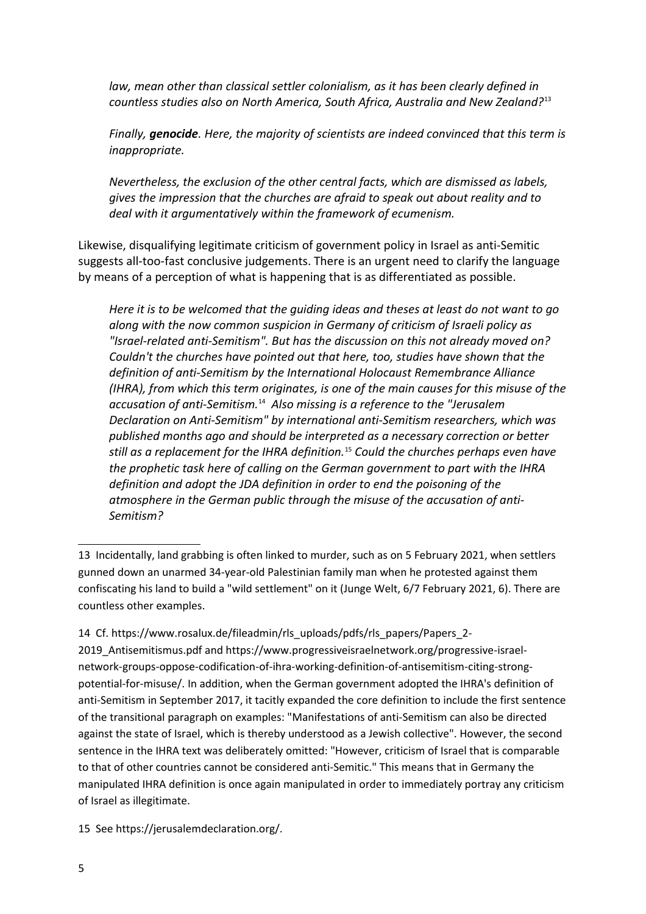*law, mean other than classical settler colonialism, as it has been clearly defined in countless studies also on North America, South Africa, Australia and New Zealand?*[13](#page-4-0)

*Finally, genocide. Here, the majority of scientists are indeed convinced that this term is inappropriate.*

*Nevertheless, the exclusion of the other central facts, which are dismissed as labels, gives the impression that the churches are afraid to speak out about reality and to deal with it argumentatively within the framework of ecumenism.* 

Likewise, disqualifying legitimate criticism of government policy in Israel as anti-Semitic suggests all-too-fast conclusive judgements. There is an urgent need to clarify the language by means of a perception of what is happening that is as differentiated as possible.

*Here it is to be welcomed that the guiding ideas and theses at least do not want to go along with the now common suspicion in Germany of criticism of Israeli policy as "Israel-related anti-Semitism". But has the discussion on this not already moved on? Couldn't the churches have pointed out that here, too, studies have shown that the definition of anti-Semitism by the International Holocaust Remembrance Alliance (IHRA), from which this term originates, is one of the main causes for this misuse of the accusation of anti-Semitism.*[14](#page-4-1) *Also missing is a reference to the "Jerusalem Declaration on Anti-Semitism" by international anti-Semitism researchers, which was published months ago and should be interpreted as a necessary correction or better still as a replacement for the IHRA definition.*[15](#page-4-2) *Could the churches perhaps even have the prophetic task here of calling on the German government to part with the IHRA definition and adopt the JDA definition in order to end the poisoning of the atmosphere in the German public through the misuse of the accusation of anti-Semitism?*

2019\_Antisemitismus.pdf and https://www.progressiveisraelnetwork.org/progressive-israelnetwork-groups-oppose-codification-of-ihra-working-definition-of-antisemitism-citing-strongpotential-for-misuse/. In addition, when the German government adopted the IHRA's definition of anti-Semitism in September 2017, it tacitly expanded the core definition to include the first sentence of the transitional paragraph on examples: "Manifestations of anti-Semitism can also be directed against the state of Israel, which is thereby understood as a Jewish collective". However, the second sentence in the IHRA text was deliberately omitted: "However, criticism of Israel that is comparable to that of other countries cannot be considered anti-Semitic." This means that in Germany the manipulated IHRA definition is once again manipulated in order to immediately portray any criticism of Israel as illegitimate.

<span id="page-4-2"></span>15 See https://jerusalemdeclaration.org/.

<span id="page-4-0"></span><sup>13</sup> Incidentally, land grabbing is often linked to murder, such as on 5 February 2021, when settlers gunned down an unarmed 34-year-old Palestinian family man when he protested against them confiscating his land to build a "wild settlement" on it (Junge Welt, 6/7 February 2021, 6). There are countless other examples.

<span id="page-4-1"></span><sup>14</sup> Cf. https://www.rosalux.de/fileadmin/rls\_uploads/pdfs/rls\_papers/Papers\_2-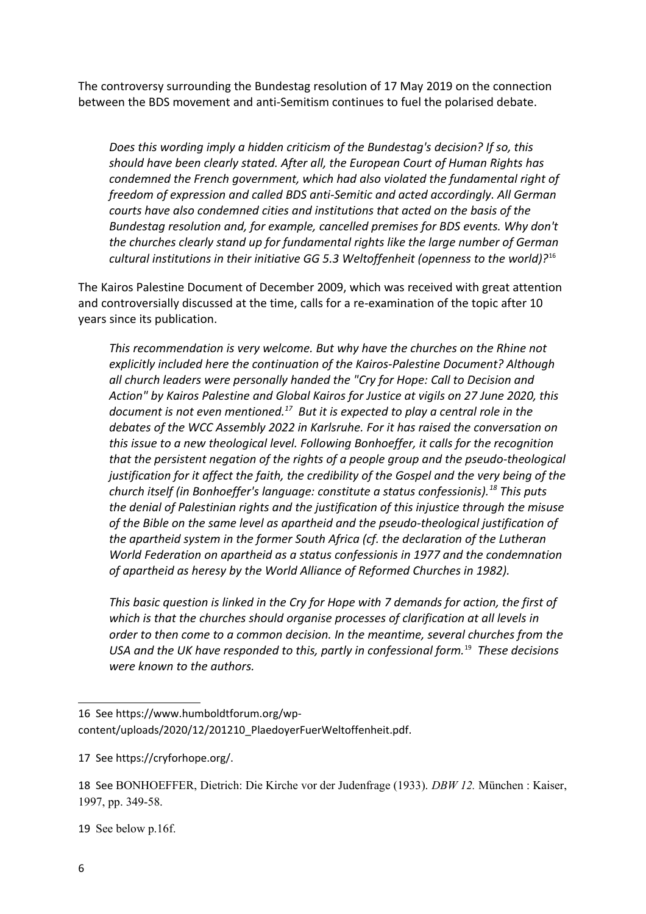The controversy surrounding the Bundestag resolution of 17 May 2019 on the connection between the BDS movement and anti-Semitism continues to fuel the polarised debate.

*Does this wording imply a hidden criticism of the Bundestag's decision? If so, this should have been clearly stated. After all, the European Court of Human Rights has condemned the French government, which had also violated the fundamental right of freedom of expression and called BDS anti-Semitic and acted accordingly. All German courts have also condemned cities and institutions that acted on the basis of the Bundestag resolution and, for example, cancelled premises for BDS events. Why don't the churches clearly stand up for fundamental rights like the large number of German cultural institutions in their initiative GG 5.3 Weltoffenheit (openness to the world)?*[16](#page-5-0)

The Kairos Palestine Document of December 2009, which was received with great attention and controversially discussed at the time, calls for a re-examination of the topic after 10 years since its publication.

*This recommendation is very welcome. But why have the churches on the Rhine not explicitly included here the continuation of the Kairos-Palestine Document? Although all church leaders were personally handed the "Cry for Hope: Call to Decision and Action" by Kairos Palestine and Global Kairos for Justice at vigils on 27 June 2020, this document is not even mentioned.[17](#page-5-1) But it is expected to play a central role in the debates of the WCC Assembly 2022 in Karlsruhe. For it has raised the conversation on this issue to a new theological level. Following Bonhoeffer, it calls for the recognition that the persistent negation of the rights of a people group and the pseudo-theological justification for it affect the faith, the credibility of the Gospel and the very being of the church itself (in Bonhoeffer's language: constitute a status confessionis).[18](#page-5-2) This puts the denial of Palestinian rights and the justification of this injustice through the misuse of the Bible on the same level as apartheid and the pseudo-theological justification of the apartheid system in the former South Africa (cf. the declaration of the Lutheran World Federation on apartheid as a status confessionis in 1977 and the condemnation of apartheid as heresy by the World Alliance of Reformed Churches in 1982).*

*This basic question is linked in the Cry for Hope with 7 demands for action, the first of which is that the churches should organise processes of clarification at all levels in order to then come to a common decision. In the meantime, several churches from the USA and the UK have responded to this, partly in confessional form.*[19](#page-5-3) *These decisions were known to the authors.* 

<span id="page-5-3"></span>19 See below p.16f.

<span id="page-5-0"></span><sup>16</sup> See https://www.humboldtforum.org/wpcontent/uploads/2020/12/201210\_PlaedoyerFuerWeltoffenheit.pdf.

<span id="page-5-1"></span><sup>17</sup> See https://cryforhope.org/.

<span id="page-5-2"></span><sup>18</sup> See BONHOEFFER, Dietrich: Die Kirche vor der Judenfrage (1933). *DBW 12.* München : Kaiser, 1997, pp. 349-58.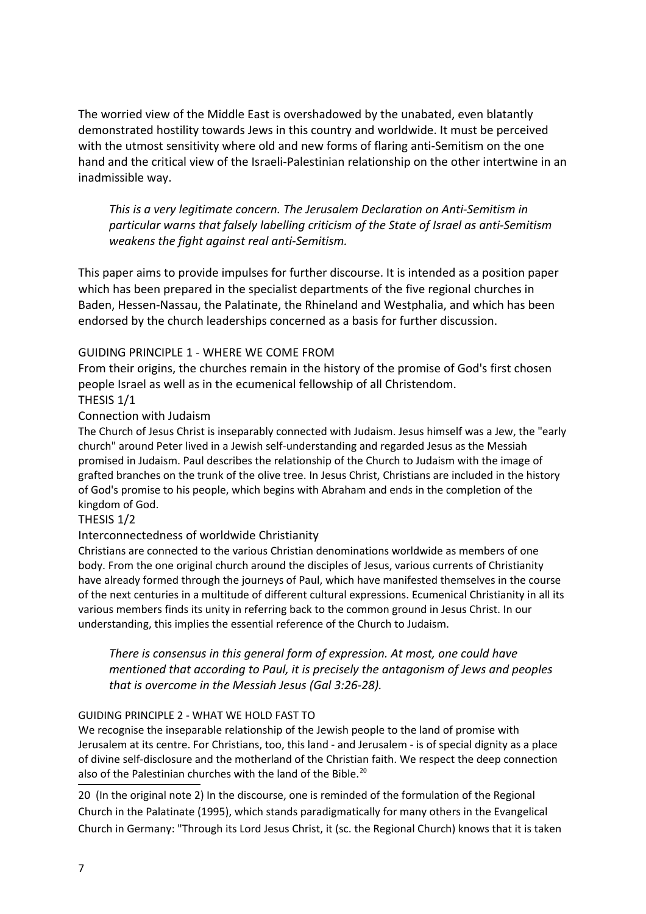The worried view of the Middle East is overshadowed by the unabated, even blatantly demonstrated hostility towards Jews in this country and worldwide. It must be perceived with the utmost sensitivity where old and new forms of flaring anti-Semitism on the one hand and the critical view of the Israeli-Palestinian relationship on the other intertwine in an inadmissible way.

*This is a very legitimate concern. The Jerusalem Declaration on Anti-Semitism in particular warns that falsely labelling criticism of the State of Israel as anti-Semitism weakens the fight against real anti-Semitism.*

This paper aims to provide impulses for further discourse. It is intended as a position paper which has been prepared in the specialist departments of the five regional churches in Baden, Hessen-Nassau, the Palatinate, the Rhineland and Westphalia, and which has been endorsed by the church leaderships concerned as a basis for further discussion.

# GUIDING PRINCIPLE 1 - WHERE WE COME FROM

From their origins, the churches remain in the history of the promise of God's first chosen people Israel as well as in the ecumenical fellowship of all Christendom. THESIS 1/1

## Connection with Judaism

The Church of Jesus Christ is inseparably connected with Judaism. Jesus himself was a Jew, the "early church" around Peter lived in a Jewish self-understanding and regarded Jesus as the Messiah promised in Judaism. Paul describes the relationship of the Church to Judaism with the image of grafted branches on the trunk of the olive tree. In Jesus Christ, Christians are included in the history of God's promise to his people, which begins with Abraham and ends in the completion of the kingdom of God.

### THESIS 1/2

### Interconnectedness of worldwide Christianity

Christians are connected to the various Christian denominations worldwide as members of one body. From the one original church around the disciples of Jesus, various currents of Christianity have already formed through the journeys of Paul, which have manifested themselves in the course of the next centuries in a multitude of different cultural expressions. Ecumenical Christianity in all its various members finds its unity in referring back to the common ground in Jesus Christ. In our understanding, this implies the essential reference of the Church to Judaism.

*There is consensus in this general form of expression. At most, one could have mentioned that according to Paul, it is precisely the antagonism of Jews and peoples that is overcome in the Messiah Jesus (Gal 3:26-28).*

### GUIDING PRINCIPLE 2 - WHAT WE HOLD FAST TO

We recognise the inseparable relationship of the Jewish people to the land of promise with Jerusalem at its centre. For Christians, too, this land - and Jerusalem - is of special dignity as a place of divine self-disclosure and the motherland of the Christian faith. We respect the deep connection also of the Palestinian churches with the land of the Bible.<sup>[20](#page-6-0)</sup>

<span id="page-6-0"></span>20 (In the original note 2) In the discourse, one is reminded of the formulation of the Regional Church in the Palatinate (1995), which stands paradigmatically for many others in the Evangelical Church in Germany: "Through its Lord Jesus Christ, it (sc. the Regional Church) knows that it is taken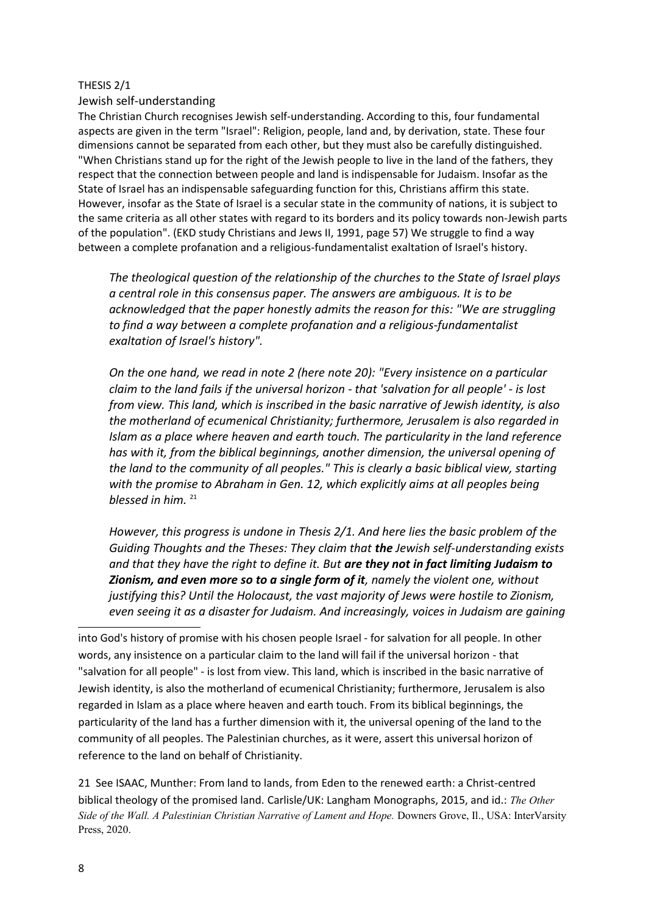#### THESIS 2/1

Jewish self-understanding

The Christian Church recognises Jewish self-understanding. According to this, four fundamental aspects are given in the term "Israel": Religion, people, land and, by derivation, state. These four dimensions cannot be separated from each other, but they must also be carefully distinguished. "When Christians stand up for the right of the Jewish people to live in the land of the fathers, they respect that the connection between people and land is indispensable for Judaism. Insofar as the State of Israel has an indispensable safeguarding function for this, Christians affirm this state. However, insofar as the State of Israel is a secular state in the community of nations, it is subject to the same criteria as all other states with regard to its borders and its policy towards non-Jewish parts of the population". (EKD study Christians and Jews II, 1991, page 57) We struggle to find a way between a complete profanation and a religious-fundamentalist exaltation of Israel's history.

*The theological question of the relationship of the churches to the State of Israel plays a central role in this consensus paper. The answers are ambiguous. It is to be acknowledged that the paper honestly admits the reason for this: "We are struggling to find a way between a complete profanation and a religious-fundamentalist exaltation of Israel's history".* 

*On the one hand, we read in note 2 (here note 20): "Every insistence on a particular claim to the land fails if the universal horizon - that 'salvation for all people' - is lost from view. This land, which is inscribed in the basic narrative of Jewish identity, is also the motherland of ecumenical Christianity; furthermore, Jerusalem is also regarded in Islam as a place where heaven and earth touch. The particularity in the land reference has with it, from the biblical beginnings, another dimension, the universal opening of the land to the community of all peoples." This is clearly a basic biblical view, starting*  with the promise to Abraham in Gen. 12, which explicitly aims at all peoples being *blessed in him.* [21](#page-7-0)

*However, this progress is undone in Thesis 2/1. And here lies the basic problem of the Guiding Thoughts and the Theses: They claim that the Jewish self-understanding exists and that they have the right to define it. But are they not in fact limiting Judaism to Zionism, and even more so to a single form of it, namely the violent one, without justifying this? Until the Holocaust, the vast majority of Jews were hostile to Zionism, even seeing it as a disaster for Judaism. And increasingly, voices in Judaism are gaining*

into God's history of promise with his chosen people Israel - for salvation for all people. In other words, any insistence on a particular claim to the land will fail if the universal horizon - that "salvation for all people" - is lost from view. This land, which is inscribed in the basic narrative of Jewish identity, is also the motherland of ecumenical Christianity; furthermore, Jerusalem is also regarded in Islam as a place where heaven and earth touch. From its biblical beginnings, the particularity of the land has a further dimension with it, the universal opening of the land to the community of all peoples. The Palestinian churches, as it were, assert this universal horizon of reference to the land on behalf of Christianity.

<span id="page-7-0"></span>21 See ISAAC, Munther: From land to lands, from Eden to the renewed earth: a Christ-centred biblical theology of the promised land. Carlisle/UK: Langham Monographs, 2015, and id.: *The Other Side of the Wall. A Palestinian Christian Narrative of Lament and Hope.* Downers Grove, Il., USA: InterVarsity Press, 2020.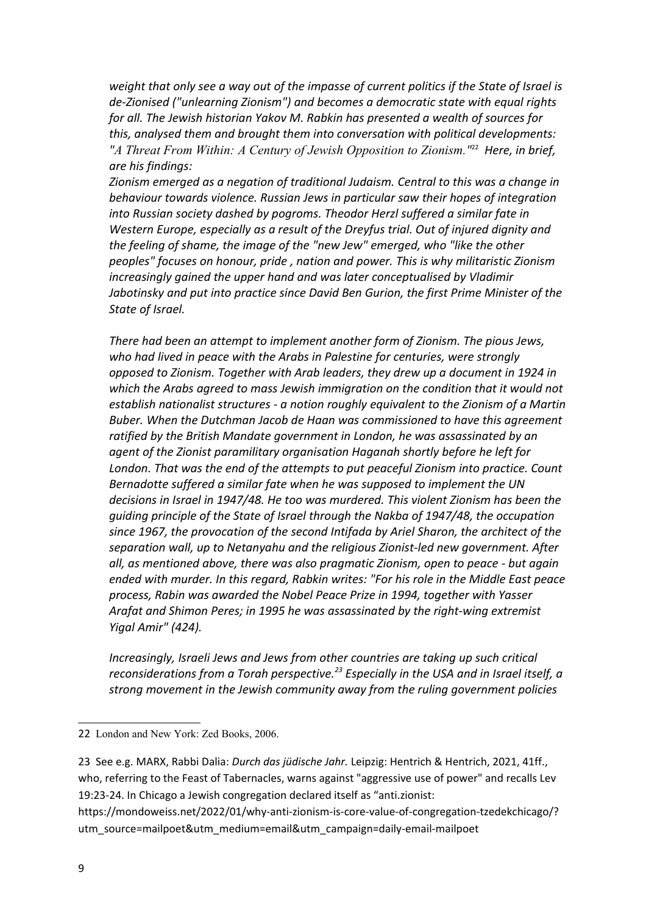*weight that only see a way out of the impasse of current politics if the State of Israel is de-Zionised ("unlearning Zionism") and becomes a democratic state with equal rights for all. The Jewish historian Yakov M. Rabkin has presented a wealth of sources for this, analysed them and brought them into conversation with political developments: "A Threat From Within: A Century of Jewish Opposition to Zionism."* [22](#page-8-0) *Here, in brief, are his findings:*

*Zionism emerged as a negation of traditional Judaism. Central to this was a change in behaviour towards violence. Russian Jews in particular saw their hopes of integration into Russian society dashed by pogroms. Theodor Herzl suffered a similar fate in Western Europe, especially as a result of the Dreyfus trial. Out of injured dignity and the feeling of shame, the image of the "new Jew" emerged, who "like the other peoples" focuses on honour, pride , nation and power. This is why militaristic Zionism increasingly gained the upper hand and was later conceptualised by Vladimir Jabotinsky and put into practice since David Ben Gurion, the first Prime Minister of the State of Israel.*

*There had been an attempt to implement another form of Zionism. The pious Jews, who had lived in peace with the Arabs in Palestine for centuries, were strongly opposed to Zionism. Together with Arab leaders, they drew up a document in 1924 in*  which the Arabs agreed to mass Jewish immigration on the condition that it would not *establish nationalist structures - a notion roughly equivalent to the Zionism of a Martin Buber. When the Dutchman Jacob de Haan was commissioned to have this agreement ratified by the British Mandate government in London, he was assassinated by an agent of the Zionist paramilitary organisation Haganah shortly before he left for London. That was the end of the attempts to put peaceful Zionism into practice. Count Bernadotte suffered a similar fate when he was supposed to implement the UN decisions in Israel in 1947/48. He too was murdered. This violent Zionism has been the guiding principle of the State of Israel through the Nakba of 1947/48, the occupation since 1967, the provocation of the second Intifada by Ariel Sharon, the architect of the separation wall, up to Netanyahu and the religious Zionist-led new government. After all, as mentioned above, there was also pragmatic Zionism, open to peace - but again ended with murder. In this regard, Rabkin writes: "For his role in the Middle East peace process, Rabin was awarded the Nobel Peace Prize in 1994, together with Yasser Arafat and Shimon Peres; in 1995 he was assassinated by the right-wing extremist Yigal Amir" (424).*

*Increasingly, Israeli Jews and Jews from other countries are taking up such critical reconsiderations from a Torah perspective.[23](#page-8-1) Especially in the USA and in Israel itself, a strong movement in the Jewish community away from the ruling government policies* 

<span id="page-8-0"></span><sup>22</sup> London and New York: Zed Books, 2006.

<span id="page-8-1"></span><sup>23</sup> See e.g. MARX, Rabbi Dalia: *Durch das jüdische Jahr.* Leipzig: Hentrich & Hentrich, 2021, 41ff., who, referring to the Feast of Tabernacles, warns against "aggressive use of power" and recalls Lev 19:23-24. In Chicago a Jewish congregation declared itself as "anti.zionist:

https://mondoweiss.net/2022/01/why-anti-zionism-is-core-value-of-congregation-tzedekchicago/? utm\_source=mailpoet&utm\_medium=email&utm\_campaign=daily-email-mailpoet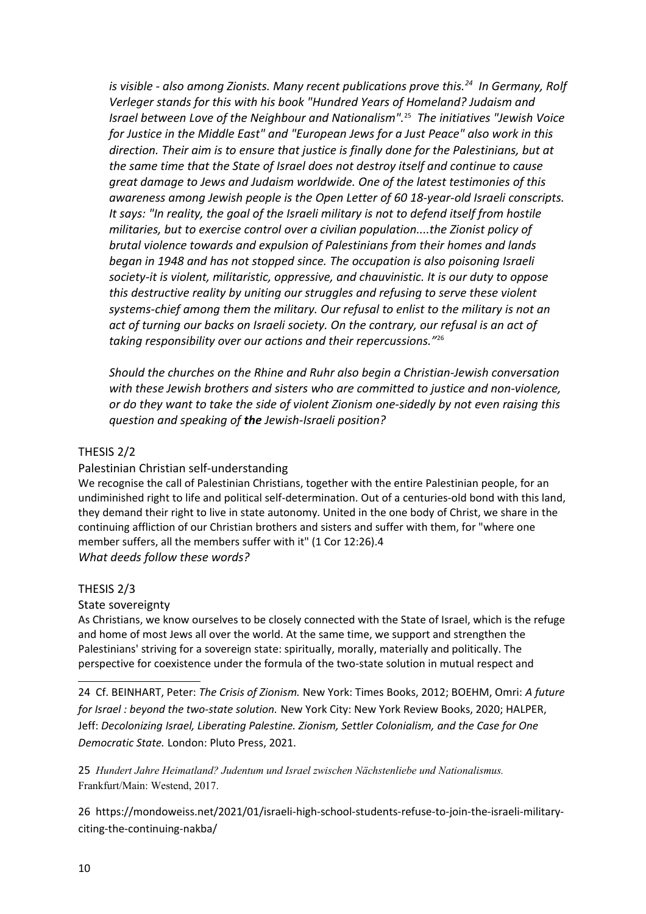*is visible - also among Zionists. Many recent publications prove this.[24](#page-9-0) In Germany, Rolf Verleger stands for this with his book "Hundred Years of Homeland? Judaism and Israel between Love of the Neighbour and Nationalism".*[25](#page-9-1) *The initiatives "Jewish Voice for Justice in the Middle East" and "European Jews for a Just Peace" also work in this direction. Their aim is to ensure that justice is finally done for the Palestinians, but at the same time that the State of Israel does not destroy itself and continue to cause great damage to Jews and Judaism worldwide. One of the latest testimonies of this awareness among Jewish people is the Open Letter of 60 18-year-old Israeli conscripts. It says: "In reality, the goal of the Israeli military is not to defend itself from hostile militaries, but to exercise control over a civilian population....the Zionist policy of brutal violence towards and expulsion of Palestinians from their homes and lands began in 1948 and has not stopped since. The occupation is also poisoning Israeli society-it is violent, militaristic, oppressive, and chauvinistic. It is our duty to oppose this destructive reality by uniting our struggles and refusing to serve these violent systems-chief among them the military. Our refusal to enlist to the military is not an act of turning our backs on Israeli society. On the contrary, our refusal is an act of taking responsibility over our actions and their repercussions."*[26](#page-9-2)

*Should the churches on the Rhine and Ruhr also begin a Christian-Jewish conversation with these Jewish brothers and sisters who are committed to justice and non-violence, or do they want to take the side of violent Zionism one-sidedly by not even raising this question and speaking of the Jewish-Israeli position?*

## THESIS 2/2

### Palestinian Christian self-understanding

We recognise the call of Palestinian Christians, together with the entire Palestinian people, for an undiminished right to life and political self-determination. Out of a centuries-old bond with this land, they demand their right to live in state autonomy. United in the one body of Christ, we share in the continuing affliction of our Christian brothers and sisters and suffer with them, for "where one member suffers, all the members suffer with it" (1 Cor 12:26).4 *What deeds follow these words?*

#### THESIS 2/3

#### State sovereignty

As Christians, we know ourselves to be closely connected with the State of Israel, which is the refuge and home of most Jews all over the world. At the same time, we support and strengthen the Palestinians' striving for a sovereign state: spiritually, morally, materially and politically. The perspective for coexistence under the formula of the two-state solution in mutual respect and

<span id="page-9-0"></span>24 Cf. BEINHART, Peter: *The Crisis of Zionism.* New York: Times Books, 2012; BOEHM, Omri: *A future for Israel : beyond the two-state solution.* New York City: New York Review Books, 2020; HALPER, Jeff: *Decolonizing Israel, Liberating Palestine. Zionism, Settler Colonialism, and the Case for One Democratic State.* London: Pluto Press, 2021.

<span id="page-9-1"></span>25 *Hundert Jahre Heimatland? Judentum und Israel zwischen Nächstenliebe und Nationalismus.*  Frankfurt/Main: Westend, 2017.

<span id="page-9-2"></span>26 https://mondoweiss.net/2021/01/israeli-high-school-students-refuse-to-join-the-israeli-militaryciting-the-continuing-nakba/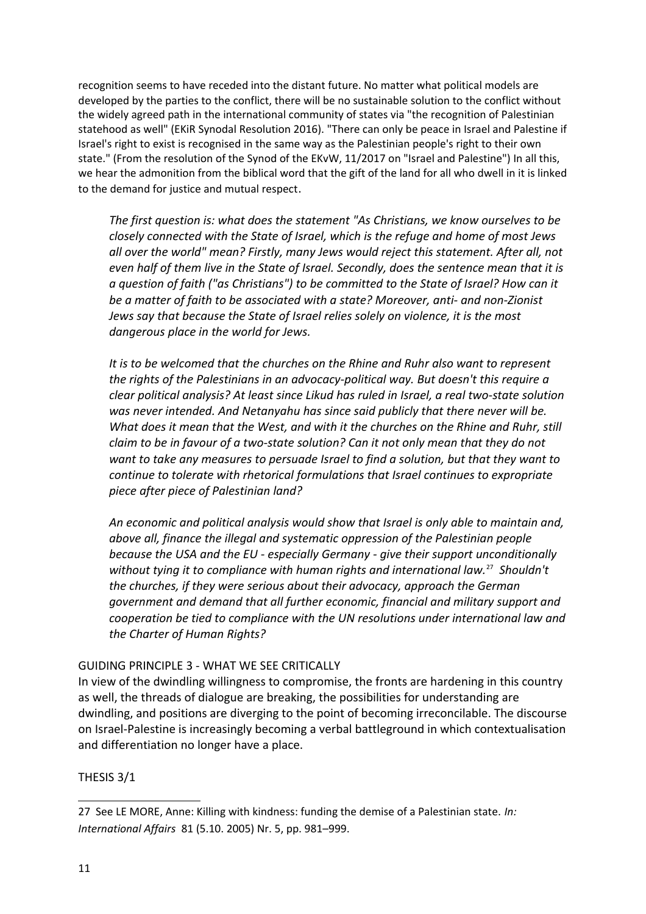recognition seems to have receded into the distant future. No matter what political models are developed by the parties to the conflict, there will be no sustainable solution to the conflict without the widely agreed path in the international community of states via "the recognition of Palestinian statehood as well" (EKiR Synodal Resolution 2016). "There can only be peace in Israel and Palestine if Israel's right to exist is recognised in the same way as the Palestinian people's right to their own state." (From the resolution of the Synod of the EKvW, 11/2017 on "Israel and Palestine") In all this, we hear the admonition from the biblical word that the gift of the land for all who dwell in it is linked to the demand for justice and mutual respect.

*The first question is: what does the statement "As Christians, we know ourselves to be closely connected with the State of Israel, which is the refuge and home of most Jews all over the world" mean? Firstly, many Jews would reject this statement. After all, not even half of them live in the State of Israel. Secondly, does the sentence mean that it is a question of faith ("as Christians") to be committed to the State of Israel? How can it be a matter of faith to be associated with a state? Moreover, anti- and non-Zionist Jews say that because the State of Israel relies solely on violence, it is the most dangerous place in the world for Jews.*

*It is to be welcomed that the churches on the Rhine and Ruhr also want to represent the rights of the Palestinians in an advocacy-political way. But doesn't this require a clear political analysis? At least since Likud has ruled in Israel, a real two-state solution was never intended. And Netanyahu has since said publicly that there never will be. What does it mean that the West, and with it the churches on the Rhine and Ruhr, still claim to be in favour of a two-state solution? Can it not only mean that they do not want to take any measures to persuade Israel to find a solution, but that they want to continue to tolerate with rhetorical formulations that Israel continues to expropriate piece after piece of Palestinian land?*

*An economic and political analysis would show that Israel is only able to maintain and, above all, finance the illegal and systematic oppression of the Palestinian people because the USA and the EU - especially Germany - give their support unconditionally without tying it to compliance with human rights and international law.*[27](#page-10-0) *Shouldn't the churches, if they were serious about their advocacy, approach the German government and demand that all further economic, financial and military support and cooperation be tied to compliance with the UN resolutions under international law and the Charter of Human Rights?*

# GUIDING PRINCIPLE 3 - WHAT WE SEE CRITICALLY

In view of the dwindling willingness to compromise, the fronts are hardening in this country as well, the threads of dialogue are breaking, the possibilities for understanding are dwindling, and positions are diverging to the point of becoming irreconcilable. The discourse on Israel-Palestine is increasingly becoming a verbal battleground in which contextualisation and differentiation no longer have a place.

# THESIS 3/1

<span id="page-10-0"></span><sup>27</sup> See LE MORE, Anne: Killing with kindness: funding the demise of a Palestinian state. *In: International Affairs* 81 (5.10. 2005) Nr. 5, pp. 981–999.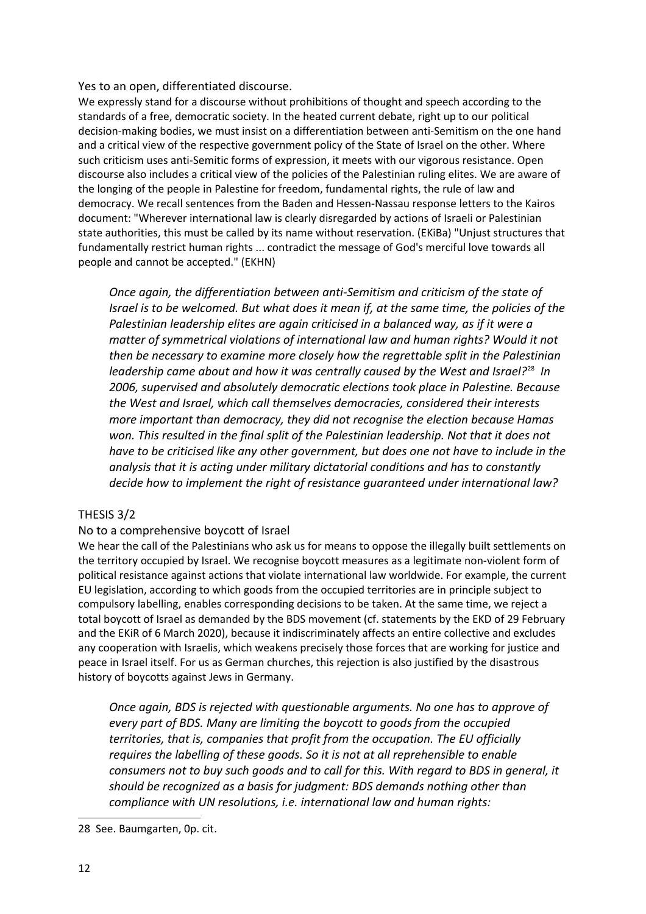#### Yes to an open, differentiated discourse.

We expressly stand for a discourse without prohibitions of thought and speech according to the standards of a free, democratic society. In the heated current debate, right up to our political decision-making bodies, we must insist on a differentiation between anti-Semitism on the one hand and a critical view of the respective government policy of the State of Israel on the other. Where such criticism uses anti-Semitic forms of expression, it meets with our vigorous resistance. Open discourse also includes a critical view of the policies of the Palestinian ruling elites. We are aware of the longing of the people in Palestine for freedom, fundamental rights, the rule of law and democracy. We recall sentences from the Baden and Hessen-Nassau response letters to the Kairos document: "Wherever international law is clearly disregarded by actions of Israeli or Palestinian state authorities, this must be called by its name without reservation. (EKiBa) "Unjust structures that fundamentally restrict human rights ... contradict the message of God's merciful love towards all people and cannot be accepted." (EKHN)

*Once again, the differentiation between anti-Semitism and criticism of the state of Israel is to be welcomed. But what does it mean if, at the same time, the policies of the Palestinian leadership elites are again criticised in a balanced way, as if it were a matter of symmetrical violations of international law and human rights? Would it not then be necessary to examine more closely how the regrettable split in the Palestinian leadership came about and how it was centrally caused by the West and Israel?*[28](#page-11-0) *In 2006, supervised and absolutely democratic elections took place in Palestine. Because the West and Israel, which call themselves democracies, considered their interests more important than democracy, they did not recognise the election because Hamas won. This resulted in the final split of the Palestinian leadership. Not that it does not have to be criticised like any other government, but does one not have to include in the analysis that it is acting under military dictatorial conditions and has to constantly decide how to implement the right of resistance guaranteed under international law?*

### THESIS 3/2

### No to a comprehensive boycott of Israel

We hear the call of the Palestinians who ask us for means to oppose the illegally built settlements on the territory occupied by Israel. We recognise boycott measures as a legitimate non-violent form of political resistance against actions that violate international law worldwide. For example, the current EU legislation, according to which goods from the occupied territories are in principle subject to compulsory labelling, enables corresponding decisions to be taken. At the same time, we reject a total boycott of Israel as demanded by the BDS movement (cf. statements by the EKD of 29 February and the EKiR of 6 March 2020), because it indiscriminately affects an entire collective and excludes any cooperation with Israelis, which weakens precisely those forces that are working for justice and peace in Israel itself. For us as German churches, this rejection is also justified by the disastrous history of boycotts against Jews in Germany.

*Once again, BDS is rejected with questionable arguments. No one has to approve of every part of BDS. Many are limiting the boycott to goods from the occupied territories, that is, companies that profit from the occupation. The EU officially requires the labelling of these goods. So it is not at all reprehensible to enable consumers not to buy such goods and to call for this. With regard to BDS in general, it should be recognized as a basis for judgment: BDS demands nothing other than compliance with UN resolutions, i.e. international law and human rights:*

<span id="page-11-0"></span><sup>28</sup> See. Baumgarten, 0p. cit.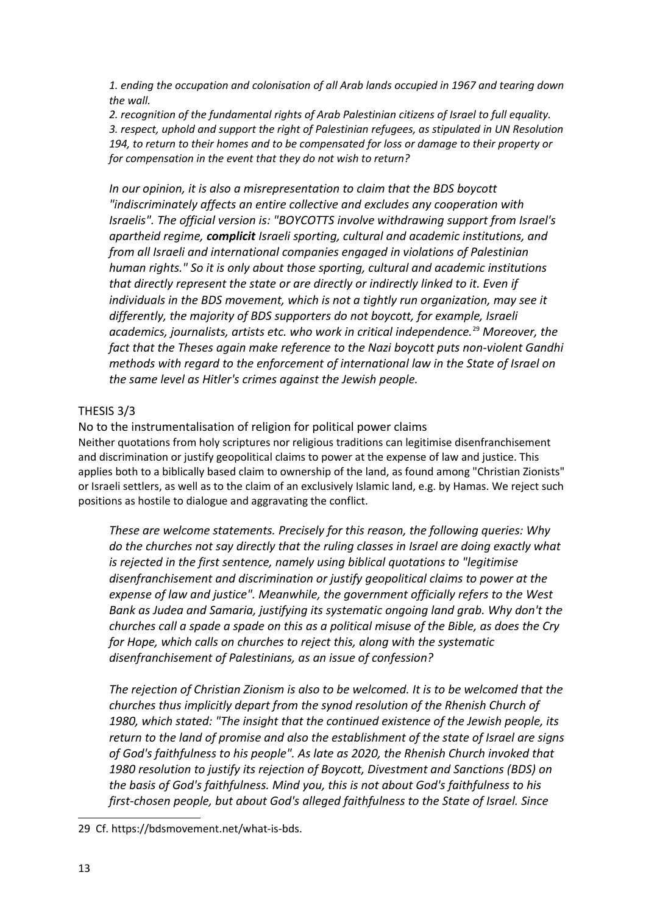*1. ending the occupation and colonisation of all Arab lands occupied in 1967 and tearing down the wall.*

*2. recognition of the fundamental rights of Arab Palestinian citizens of Israel to full equality. 3. respect, uphold and support the right of Palestinian refugees, as stipulated in UN Resolution 194, to return to their homes and to be compensated for loss or damage to their property or for compensation in the event that they do not wish to return?*

*In our opinion, it is also a misrepresentation to claim that the BDS boycott "indiscriminately affects an entire collective and excludes any cooperation with Israelis". The official version is: "BOYCOTTS involve withdrawing support from Israel's apartheid regime, complicit Israeli sporting, cultural and academic institutions, and from all Israeli and international companies engaged in violations of Palestinian human rights." So it is only about those sporting, cultural and academic institutions that directly represent the state or are directly or indirectly linked to it. Even if individuals in the BDS movement, which is not a tightly run organization, may see it differently, the majority of BDS supporters do not boycott, for example, Israeli academics, journalists, artists etc. who work in critical independence.*[29](#page-12-0) *Moreover, the fact that the Theses again make reference to the Nazi boycott puts non-violent Gandhi methods with regard to the enforcement of international law in the State of Israel on the same level as Hitler's crimes against the Jewish people.*

# THESIS 3/3

No to the instrumentalisation of religion for political power claims Neither quotations from holy scriptures nor religious traditions can legitimise disenfranchisement and discrimination or justify geopolitical claims to power at the expense of law and justice. This applies both to a biblically based claim to ownership of the land, as found among "Christian Zionists" or Israeli settlers, as well as to the claim of an exclusively Islamic land, e.g. by Hamas. We reject such positions as hostile to dialogue and aggravating the conflict.

*These are welcome statements. Precisely for this reason, the following queries: Why do the churches not say directly that the ruling classes in Israel are doing exactly what is rejected in the first sentence, namely using biblical quotations to "legitimise disenfranchisement and discrimination or justify geopolitical claims to power at the expense of law and justice". Meanwhile, the government officially refers to the West Bank as Judea and Samaria, justifying its systematic ongoing land grab. Why don't the churches call a spade a spade on this as a political misuse of the Bible, as does the Cry for Hope, which calls on churches to reject this, along with the systematic disenfranchisement of Palestinians, as an issue of confession?*

*The rejection of Christian Zionism is also to be welcomed. It is to be welcomed that the churches thus implicitly depart from the synod resolution of the Rhenish Church of 1980, which stated: "The insight that the continued existence of the Jewish people, its return to the land of promise and also the establishment of the state of Israel are signs of God's faithfulness to his people". As late as 2020, the Rhenish Church invoked that 1980 resolution to justify its rejection of Boycott, Divestment and Sanctions (BDS) on the basis of God's faithfulness. Mind you, this is not about God's faithfulness to his first-chosen people, but about God's alleged faithfulness to the State of Israel. Since* 

<span id="page-12-0"></span><sup>29</sup> Cf. https://bdsmovement.net/what-is-bds.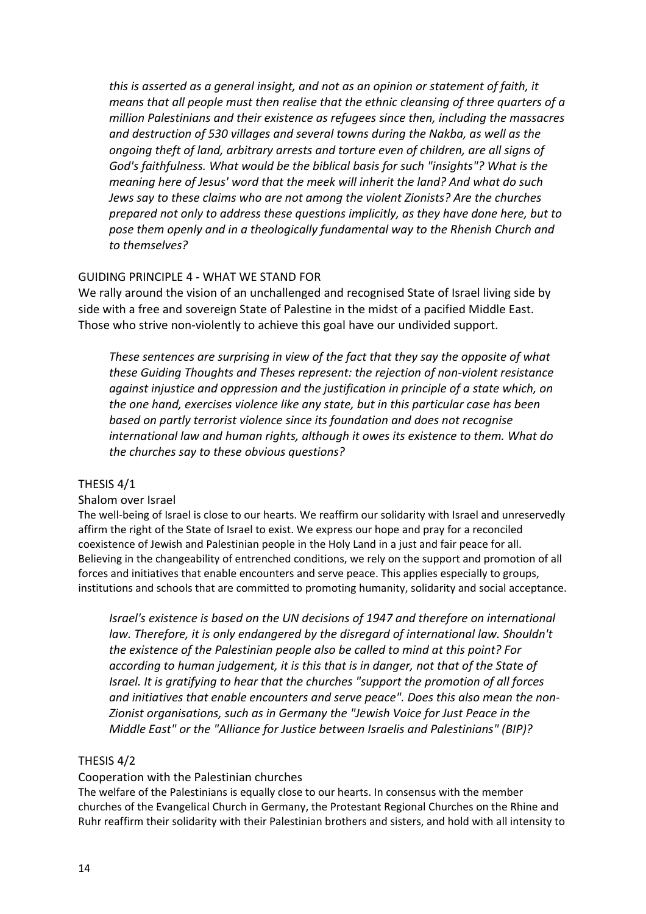*this is asserted as a general insight, and not as an opinion or statement of faith, it means that all people must then realise that the ethnic cleansing of three quarters of a million Palestinians and their existence as refugees since then, including the massacres and destruction of 530 villages and several towns during the Nakba, as well as the ongoing theft of land, arbitrary arrests and torture even of children, are all signs of God's faithfulness. What would be the biblical basis for such "insights"? What is the meaning here of Jesus' word that the meek will inherit the land? And what do such Jews say to these claims who are not among the violent Zionists? Are the churches prepared not only to address these questions implicitly, as they have done here, but to pose them openly and in a theologically fundamental way to the Rhenish Church and to themselves?*

## GUIDING PRINCIPLE 4 - WHAT WE STAND FOR

We rally around the vision of an unchallenged and recognised State of Israel living side by side with a free and sovereign State of Palestine in the midst of a pacified Middle East. Those who strive non-violently to achieve this goal have our undivided support.

*These sentences are surprising in view of the fact that they say the opposite of what these Guiding Thoughts and Theses represent: the rejection of non-violent resistance against injustice and oppression and the justification in principle of a state which, on the one hand, exercises violence like any state, but in this particular case has been based on partly terrorist violence since its foundation and does not recognise international law and human rights, although it owes its existence to them. What do the churches say to these obvious questions?*

### THESIS 4/1

### Shalom over Israel

The well-being of Israel is close to our hearts. We reaffirm our solidarity with Israel and unreservedly affirm the right of the State of Israel to exist. We express our hope and pray for a reconciled coexistence of Jewish and Palestinian people in the Holy Land in a just and fair peace for all. Believing in the changeability of entrenched conditions, we rely on the support and promotion of all forces and initiatives that enable encounters and serve peace. This applies especially to groups, institutions and schools that are committed to promoting humanity, solidarity and social acceptance.

*Israel's existence is based on the UN decisions of 1947 and therefore on international law. Therefore, it is only endangered by the disregard of international law. Shouldn't the existence of the Palestinian people also be called to mind at this point? For according to human judgement, it is this that is in danger, not that of the State of Israel. It is gratifying to hear that the churches "support the promotion of all forces and initiatives that enable encounters and serve peace". Does this also mean the non-Zionist organisations, such as in Germany the "Jewish Voice for Just Peace in the Middle East" or the "Alliance for Justice between Israelis and Palestinians" (BIP)?*

### THESIS 4/2

### Cooperation with the Palestinian churches

The welfare of the Palestinians is equally close to our hearts. In consensus with the member churches of the Evangelical Church in Germany, the Protestant Regional Churches on the Rhine and Ruhr reaffirm their solidarity with their Palestinian brothers and sisters, and hold with all intensity to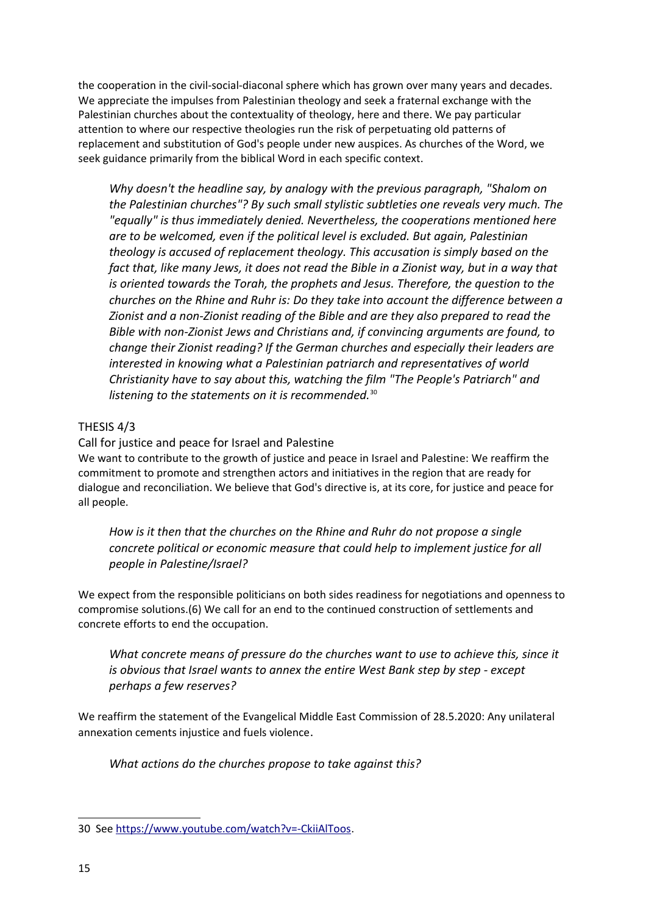the cooperation in the civil-social-diaconal sphere which has grown over many years and decades. We appreciate the impulses from Palestinian theology and seek a fraternal exchange with the Palestinian churches about the contextuality of theology, here and there. We pay particular attention to where our respective theologies run the risk of perpetuating old patterns of replacement and substitution of God's people under new auspices. As churches of the Word, we seek guidance primarily from the biblical Word in each specific context.

*Why doesn't the headline say, by analogy with the previous paragraph, "Shalom on the Palestinian churches"? By such small stylistic subtleties one reveals very much. The "equally" is thus immediately denied. Nevertheless, the cooperations mentioned here are to be welcomed, even if the political level is excluded. But again, Palestinian theology is accused of replacement theology. This accusation is simply based on the fact that, like many Jews, it does not read the Bible in a Zionist way, but in a way that is oriented towards the Torah, the prophets and Jesus. Therefore, the question to the churches on the Rhine and Ruhr is: Do they take into account the difference between a Zionist and a non-Zionist reading of the Bible and are they also prepared to read the Bible with non-Zionist Jews and Christians and, if convincing arguments are found, to change their Zionist reading? If the German churches and especially their leaders are interested in knowing what a Palestinian patriarch and representatives of world Christianity have to say about this, watching the film "The People's Patriarch" and listening to the statements on it is recommended.*[30](#page-14-0)

# THESIS 4/3

Call for justice and peace for Israel and Palestine

We want to contribute to the growth of justice and peace in Israel and Palestine: We reaffirm the commitment to promote and strengthen actors and initiatives in the region that are ready for dialogue and reconciliation. We believe that God's directive is, at its core, for justice and peace for all people.

*How is it then that the churches on the Rhine and Ruhr do not propose a single concrete political or economic measure that could help to implement justice for all people in Palestine/Israel?*

We expect from the responsible politicians on both sides readiness for negotiations and openness to compromise solutions.(6) We call for an end to the continued construction of settlements and concrete efforts to end the occupation.

*What concrete means of pressure do the churches want to use to achieve this, since it is obvious that Israel wants to annex the entire West Bank step by step - except perhaps a few reserves?*

We reaffirm the statement of the Evangelical Middle East Commission of 28.5.2020: Any unilateral annexation cements injustice and fuels violence.

*What actions do the churches propose to take against this?*

<span id="page-14-0"></span><sup>30</sup> See [https://www.youtube.com/watch?v=-CkiiAlToos.](https://www.youtube.com/watch?v=-CkiiAlToos)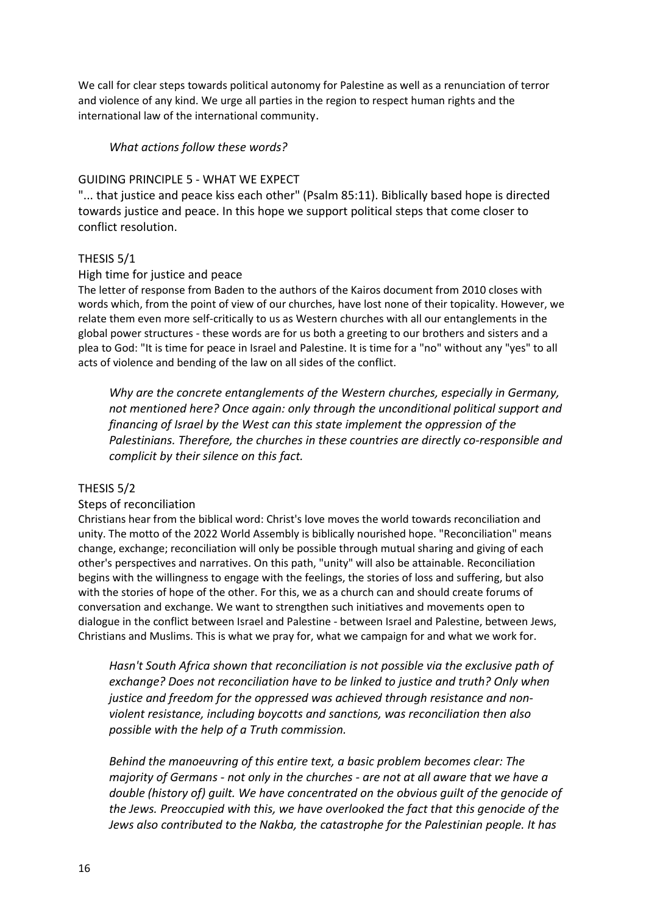We call for clear steps towards political autonomy for Palestine as well as a renunciation of terror and violence of any kind. We urge all parties in the region to respect human rights and the international law of the international community.

## *What actions follow these words?*

## GUIDING PRINCIPLE 5 - WHAT WE EXPECT

"... that justice and peace kiss each other" (Psalm 85:11). Biblically based hope is directed towards justice and peace. In this hope we support political steps that come closer to conflict resolution.

## THESIS 5/1

### High time for justice and peace

The letter of response from Baden to the authors of the Kairos document from 2010 closes with words which, from the point of view of our churches, have lost none of their topicality. However, we relate them even more self-critically to us as Western churches with all our entanglements in the global power structures - these words are for us both a greeting to our brothers and sisters and a plea to God: "It is time for peace in Israel and Palestine. It is time for a "no" without any "yes" to all acts of violence and bending of the law on all sides of the conflict.

*Why are the concrete entanglements of the Western churches, especially in Germany, not mentioned here? Once again: only through the unconditional political support and financing of Israel by the West can this state implement the oppression of the Palestinians. Therefore, the churches in these countries are directly co-responsible and complicit by their silence on this fact.*

### THESIS 5/2

### Steps of reconciliation

Christians hear from the biblical word: Christ's love moves the world towards reconciliation and unity. The motto of the 2022 World Assembly is biblically nourished hope. "Reconciliation" means change, exchange; reconciliation will only be possible through mutual sharing and giving of each other's perspectives and narratives. On this path, "unity" will also be attainable. Reconciliation begins with the willingness to engage with the feelings, the stories of loss and suffering, but also with the stories of hope of the other. For this, we as a church can and should create forums of conversation and exchange. We want to strengthen such initiatives and movements open to dialogue in the conflict between Israel and Palestine - between Israel and Palestine, between Jews, Christians and Muslims. This is what we pray for, what we campaign for and what we work for.

*Hasn't South Africa shown that reconciliation is not possible via the exclusive path of exchange? Does not reconciliation have to be linked to justice and truth? Only when justice and freedom for the oppressed was achieved through resistance and nonviolent resistance, including boycotts and sanctions, was reconciliation then also possible with the help of a Truth commission.*

*Behind the manoeuvring of this entire text, a basic problem becomes clear: The majority of Germans - not only in the churches - are not at all aware that we have a double (history of) guilt. We have concentrated on the obvious guilt of the genocide of the Jews. Preoccupied with this, we have overlooked the fact that this genocide of the Jews also contributed to the Nakba, the catastrophe for the Palestinian people. It has*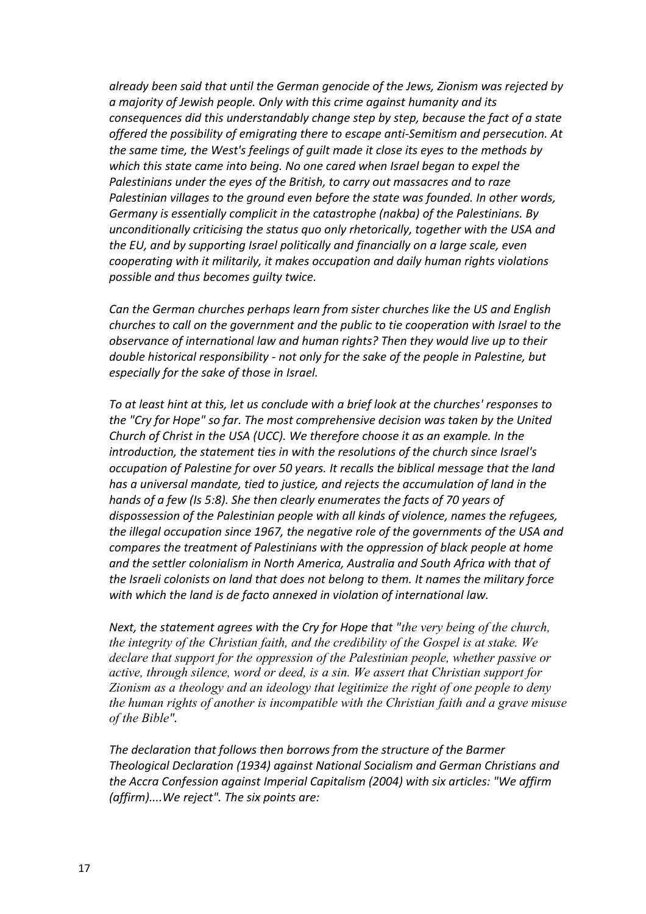*already been said that until the German genocide of the Jews, Zionism was rejected by a majority of Jewish people. Only with this crime against humanity and its consequences did this understandably change step by step, because the fact of a state offered the possibility of emigrating there to escape anti-Semitism and persecution. At the same time, the West's feelings of guilt made it close its eyes to the methods by which this state came into being. No one cared when Israel began to expel the Palestinians under the eyes of the British, to carry out massacres and to raze Palestinian villages to the ground even before the state was founded. In other words, Germany is essentially complicit in the catastrophe (nakba) of the Palestinians. By unconditionally criticising the status quo only rhetorically, together with the USA and the EU, and by supporting Israel politically and financially on a large scale, even cooperating with it militarily, it makes occupation and daily human rights violations possible and thus becomes guilty twice.*

*Can the German churches perhaps learn from sister churches like the US and English churches to call on the government and the public to tie cooperation with Israel to the observance of international law and human rights? Then they would live up to their double historical responsibility - not only for the sake of the people in Palestine, but especially for the sake of those in Israel.* 

*To at least hint at this, let us conclude with a brief look at the churches' responses to the "Cry for Hope" so far. The most comprehensive decision was taken by the United Church of Christ in the USA (UCC). We therefore choose it as an example. In the introduction, the statement ties in with the resolutions of the church since Israel's occupation of Palestine for over 50 years. It recalls the biblical message that the land has a universal mandate, tied to justice, and rejects the accumulation of land in the hands of a few (Is 5:8). She then clearly enumerates the facts of 70 years of dispossession of the Palestinian people with all kinds of violence, names the refugees, the illegal occupation since 1967, the negative role of the governments of the USA and compares the treatment of Palestinians with the oppression of black people at home and the settler colonialism in North America, Australia and South Africa with that of the Israeli colonists on land that does not belong to them. It names the military force with which the land is de facto annexed in violation of international law.*

*Next, the statement agrees with the Cry for Hope that "the very being of the church, the integrity of the Christian faith, and the credibility of the Gospel is at stake. We declare that support for the oppression of the Palestinian people, whether passive or active, through silence, word or deed, is a sin. We assert that Christian support for Zionism as a theology and an ideology that legitimize the right of one people to deny the human rights of another is incompatible with the Christian faith and a grave misuse of the Bible".*

*The declaration that follows then borrows from the structure of the Barmer Theological Declaration (1934) against National Socialism and German Christians and the Accra Confession against Imperial Capitalism (2004) with six articles: "We affirm (affirm)....We reject". The six points are:*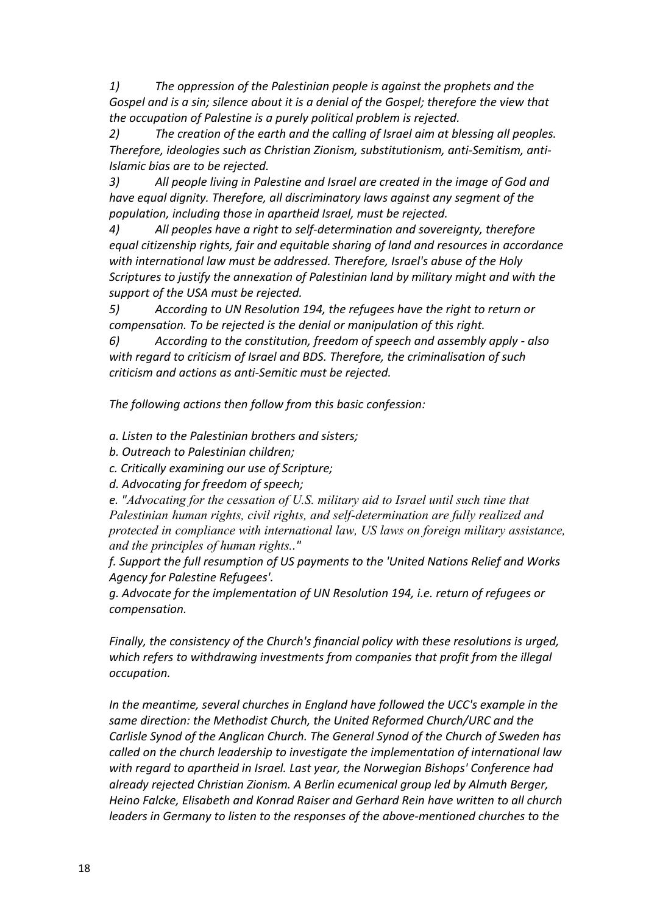*1) The oppression of the Palestinian people is against the prophets and the Gospel and is a sin; silence about it is a denial of the Gospel; therefore the view that the occupation of Palestine is a purely political problem is rejected.*

*2) The creation of the earth and the calling of Israel aim at blessing all peoples. Therefore, ideologies such as Christian Zionism, substitutionism, anti-Semitism, anti-Islamic bias are to be rejected.*

*3) All people living in Palestine and Israel are created in the image of God and have equal dignity. Therefore, all discriminatory laws against any segment of the population, including those in apartheid Israel, must be rejected.*

*4) All peoples have a right to self-determination and sovereignty, therefore equal citizenship rights, fair and equitable sharing of land and resources in accordance with international law must be addressed. Therefore, Israel's abuse of the Holy Scriptures to justify the annexation of Palestinian land by military might and with the support of the USA must be rejected.*

*5) According to UN Resolution 194, the refugees have the right to return or compensation. To be rejected is the denial or manipulation of this right.*

*6) According to the constitution, freedom of speech and assembly apply - also with regard to criticism of Israel and BDS. Therefore, the criminalisation of such criticism and actions as anti-Semitic must be rejected.*

*The following actions then follow from this basic confession:* 

*a. Listen to the Palestinian brothers and sisters;*

- *b. Outreach to Palestinian children;*
- *c. Critically examining our use of Scripture;*
- *d. Advocating for freedom of speech;*

*e. "Advocating for the cessation of U.S. military aid to Israel until such time that Palestinian human rights, civil rights, and self-determination are fully realized and protected in compliance with international law, US laws on foreign military assistance, and the principles of human rights.."*

*f. Support the full resumption of US payments to the 'United Nations Relief and Works Agency for Palestine Refugees'.*

*g. Advocate for the implementation of UN Resolution 194, i.e. return of refugees or compensation.*

*Finally, the consistency of the Church's financial policy with these resolutions is urged, which refers to withdrawing investments from companies that profit from the illegal occupation.*

*In the meantime, several churches in England have followed the UCC's example in the same direction: the Methodist Church, the United Reformed Church/URC and the Carlisle Synod of the Anglican Church. The General Synod of the Church of Sweden has called on the church leadership to investigate the implementation of international law with regard to apartheid in Israel. Last year, the Norwegian Bishops' Conference had already rejected Christian Zionism. A Berlin ecumenical group led by Almuth Berger, Heino Falcke, Elisabeth and Konrad Raiser and Gerhard Rein have written to all church leaders in Germany to listen to the responses of the above-mentioned churches to the*